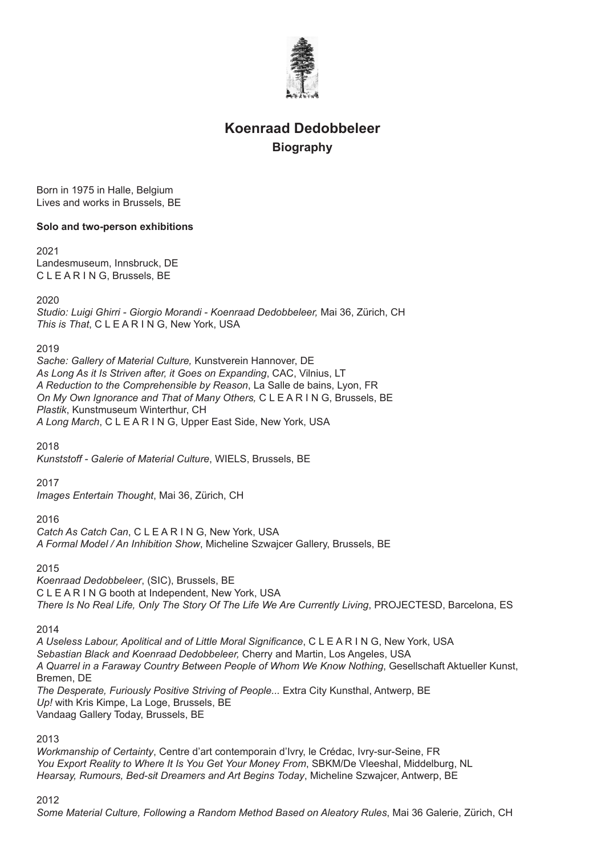

# **Koenraad Dedobbeleer Biography**

Born in 1975 in Halle, Belgium Lives and works in Brussels, BE

# **Solo and two-person exhibitions**

2021

Landesmuseum, Innsbruck, DE C L E A R I N G, Brussels, BE

## 2020

*Studio: Luigi Ghirri - Giorgio Morandi - Koenraad Dedobbeleer,* Mai 36, Zürich, CH *This is That*, C L E A R I N G, New York, USA

2019

*Sache: Gallery of Material Culture,* Kunstverein Hannover, DE *As Long As it Is Striven after, it Goes on Expanding*, CAC, Vilnius, LT *A Reduction to the Comprehensible by Reason*, La Salle de bains, Lyon, FR *On My Own Ignorance and That of Many Others,* C L E A R I N G, Brussels, BE *Plastik*, Kunstmuseum Winterthur, CH *A Long March*, C L E A R I N G, Upper East Side, New York, USA

2018

*Kunststoff - Galerie of Material Culture*, WIELS, Brussels, BE

2017

*Images Entertain Thought*, Mai 36, Zürich, CH

2016

*Catch As Catch Can*, C L E A R I N G, New York, USA *A Formal Model / An Inhibition Show*, Micheline Szwajcer Gallery, Brussels, BE

2015

*Koenraad Dedobbeleer*, (SIC), Brussels, BE C L E A R I N G booth at Independent, New York, USA *There Is No Real Life, Only The Story Of The Life We Are Currently Living*, PROJECTESD, Barcelona, ES

2014

*A Useless Labour, Apolitical and of Little Moral Significance*, C L E A R I N G, New York, USA *Sebastian Black and Koenraad Dedobbeleer,* Cherry and Martin, Los Angeles, USA *A Quarrel in a Faraway Country Between People of Whom We Know Nothing*, Gesellschaft Aktueller Kunst, Bremen, DE *The Desperate, Furiously Positive Striving of People...* Extra City Kunsthal, Antwerp, BE *Up!* with Kris Kimpe, La Loge, Brussels, BE Vandaag Gallery Today, Brussels, BE

2013

*Workmanship of Certainty*, Centre d'art contemporain d'Ivry, le Crédac, Ivry-sur-Seine, FR *You Export Reality to Where It Is You Get Your Money From*, SBKM/De Vleeshal, Middelburg, NL *Hearsay, Rumours, Bed-sit Dreamers and Art Begins Today*, Micheline Szwajcer, Antwerp, BE

2012

*Some Material Culture, Following a Random Method Based on Aleatory Rules*, Mai 36 Galerie, Zürich, CH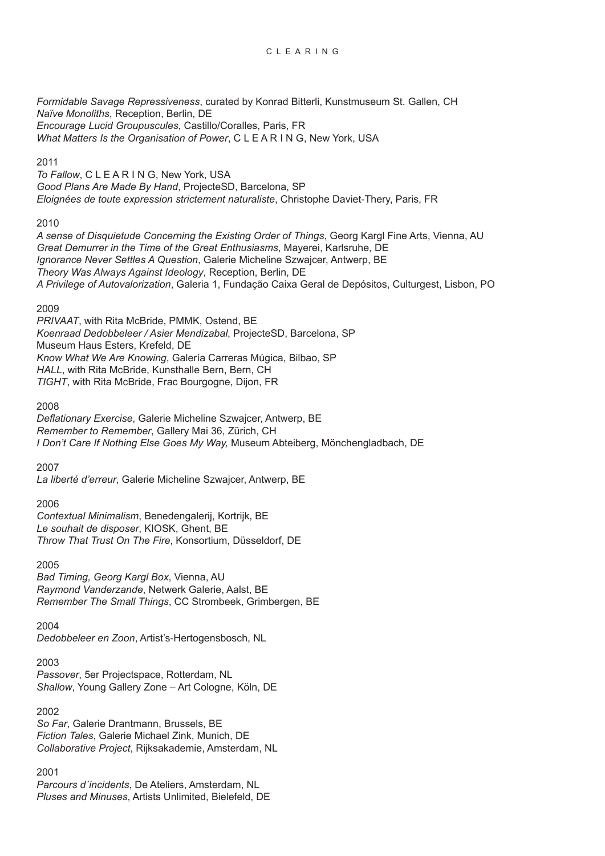*Formidable Savage Repressiveness*, curated by Konrad Bitterli, Kunstmuseum St. Gallen, CH *Naïve Monoliths*, Reception, Berlin, DE *Encourage Lucid Groupuscules*, Castillo/Coralles, Paris, FR *What Matters Is the Organisation of Power*, C L E A R I N G, New York, USA

## 2011

*To Fallow*, C L E A R I N G, New York, USA *Good Plans Are Made By Hand*, ProjecteSD, Barcelona, SP *Eloignées de toute expression strictement naturaliste*, Christophe Daviet-Thery, Paris, FR

# 2010

*A sense of Disquietude Concerning the Existing Order of Things*, Georg Kargl Fine Arts, Vienna, AU *Great Demurrer in the Time of the Great Enthusiasms*, Mayerei, Karlsruhe, DE *Ignorance Never Settles A Question*, Galerie Micheline Szwajcer, Antwerp, BE *Theory Was Always Against Ideology*, Reception, Berlin, DE *A Privilege of Autovalorization*, Galeria 1, Fundação Caixa Geral de Depósitos, Culturgest, Lisbon, PO

# 2009

*PRIVAAT*, with Rita McBride, PMMK, Ostend, BE *Koenraad Dedobbeleer / Asier Mendizabal*, ProjecteSD, Barcelona, SP Museum Haus Esters, Krefeld, DE *Know What We Are Knowing*, Galería Carreras Múgica, Bilbao, SP *HALL*, with Rita McBride, Kunsthalle Bern, Bern, CH *TIGHT*, with Rita McBride, Frac Bourgogne, Dijon, FR

## 2008

*Deflationary Exercise*, Galerie Micheline Szwajcer, Antwerp, BE *Remember to Remember*, Gallery Mai 36, Zürich, CH *I Don't Care If Nothing Else Goes My Way,* Museum Abteiberg, Mönchengladbach, DE

2007

*La liberté d'erreur*, Galerie Micheline Szwajcer, Antwerp, BE

# 2006

*Contextual Minimalism*, Benedengalerij, Kortrijk, BE *Le souhait de disposer*, KIOSK, Ghent, BE *Throw That Trust On The Fire*, Konsortium, Düsseldorf, DE

2005

*Bad Timing, Georg Kargl Box*, Vienna, AU *Raymond Vanderzande*, Netwerk Galerie, Aalst, BE *Remember The Small Things*, CC Strombeek, Grimbergen, BE

#### 2004

*Dedobbeleer en Zoon*, Artist's-Hertogensbosch, NL

# 2003

*Passover*, 5er Projectspace, Rotterdam, NL *Shallow*, Young Gallery Zone – Art Cologne, Köln, DE

#### 2002

*So Far*, Galerie Drantmann, Brussels, BE *Fiction Tales*, Galerie Michael Zink, Munich, DE *Collaborative Project*, Rijksakademie, Amsterdam, NL

# 2001

*Parcours d´incidents*, De Ateliers, Amsterdam, NL *Pluses and Minuses*, Artists Unlimited, Bielefeld, DE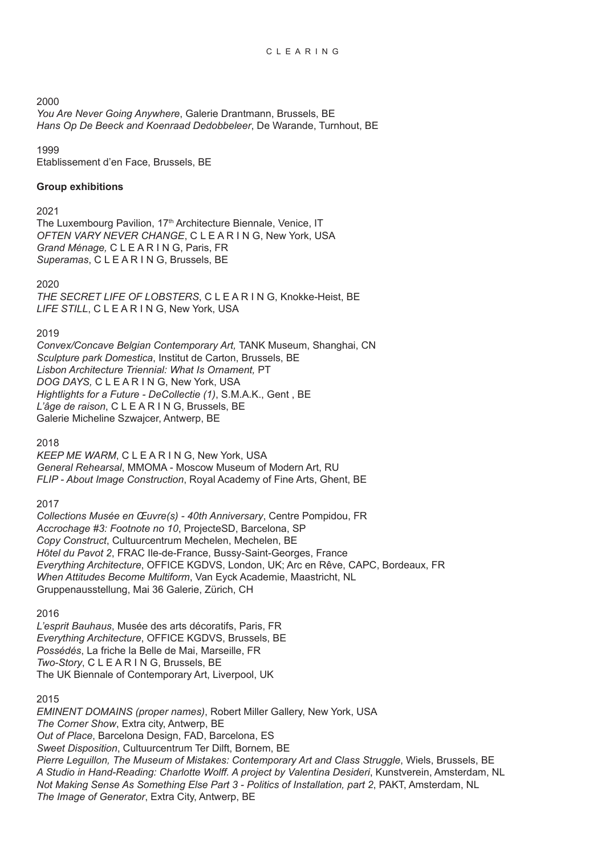#### 2000

*You Are Never Going Anywhere*, Galerie Drantmann, Brussels, BE *Hans Op De Beeck and Koenraad Dedobbeleer*, De Warande, Turnhout, BE

1999

Etablissement d'en Face, Brussels, BE

## **Group exhibitions**

## 2021

The Luxembourg Pavilion, 17<sup>th</sup> Architecture Biennale, Venice, IT *OFTEN VARY NEVER CHANGE*, C L E A R I N G, New York, USA *Grand Ménage,* C L E A R I N G, Paris, FR *Superamas*, C L E A R I N G, Brussels, BE

2020

*THE SECRET LIFE OF LOBSTERS*, C L E A R I N G, Knokke-Heist, BE *LIFE STILL*, C L E A R I N G, New York, USA

## 2019

*Convex/Concave Belgian Contemporary Art,* TANK Museum, Shanghai, CN *Sculpture park Domestica*, Institut de Carton, Brussels, BE *Lisbon Architecture Triennial: What Is Ornament,* PT *DOG DAYS,* C L E A R I N G, New York, USA *Hightlights for a Future - DeCollectie (1)*, S.M.A.K., Gent , BE *L'âge de raison*, C L E A R I N G, Brussels, BE Galerie Micheline Szwajcer, Antwerp, BE

2018

*KEEP ME WARM*, C L E A R I N G, New York, USA *General Rehearsal*, MMOMA - Moscow Museum of Modern Art, RU *FLIP - About Image Construction*, Royal Academy of Fine Arts, Ghent, BE

#### 2017

*Collections Musée en Œuvre(s) - 40th Anniversary*, Centre Pompidou, FR *Accrochage #3: Footnote no 10*, ProjecteSD, Barcelona, SP *Copy Construct*, Cultuurcentrum Mechelen, Mechelen, BE *Hȏtel du Pavot 2*, FRAC Ile-de-France, Bussy-Saint-Georges, France *Everything Architecture*, OFFICE KGDVS, London, UK; Arc en Rêve, CAPC, Bordeaux, FR *When Attitudes Become Multiform*, Van Eyck Academie, Maastricht, NL Gruppenausstellung, Mai 36 Galerie, Zürich, CH

2016

*L'esprit Bauhaus*, Musée des arts décoratifs, Paris, FR *Everything Architecture*, OFFICE KGDVS, Brussels, BE *Possédés*, La friche la Belle de Mai, Marseille, FR *Two-Story*, C L E A R I N G, Brussels, BE The UK Biennale of Contemporary Art, Liverpool, UK

# 2015

*EMINENT DOMAINS (proper names)*, Robert Miller Gallery, New York, USA *The Corner Show*, Extra city, Antwerp, BE *Out of Place*, Barcelona Design, FAD, Barcelona, ES *Sweet Disposition*, Cultuurcentrum Ter Dilft, Bornem, BE *Pierre Leguillon, The Museum of Mistakes: Contemporary Art and Class Struggle*, Wiels, Brussels, BE *A Studio in Hand-Reading: Charlotte Wolff. A project by Valentina Desideri*, Kunstverein, Amsterdam, NL *Not Making Sense As Something Else Part 3 - Politics of Installation, part 2*, PAKT, Amsterdam, NL *The Image of Generator*, Extra City, Antwerp, BE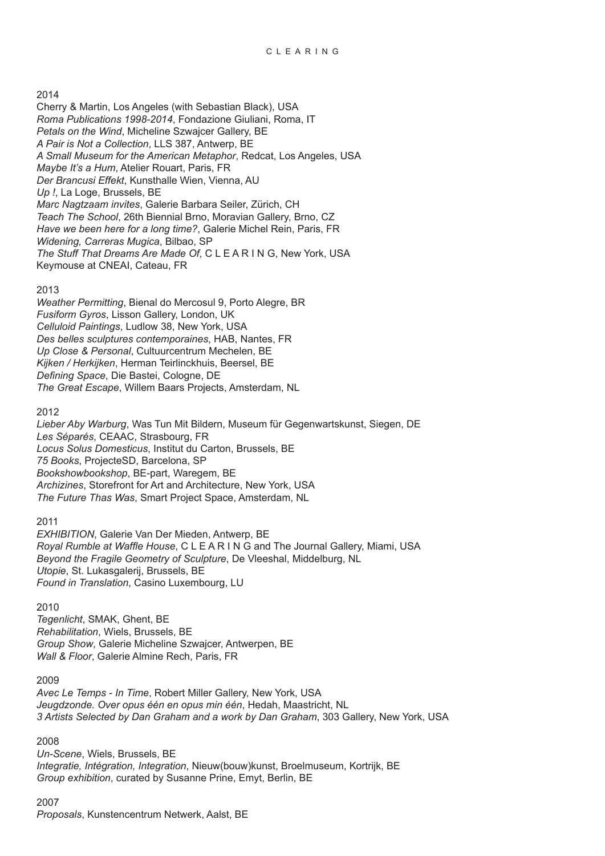## 2014

Cherry & Martin, Los Angeles (with Sebastian Black), USA *Roma Publications 1998-2014*, Fondazione Giuliani, Roma, IT *Petals on the Wind*, Micheline Szwajcer Gallery, BE *A Pair is Not a Collection*, LLS 387, Antwerp, BE *A Small Museum for the American Metaphor*, Redcat, Los Angeles, USA *Maybe It's a Hum*, Atelier Rouart, Paris, FR *Der Brancusi Effekt*, Kunsthalle Wien, Vienna, AU *Up !*, La Loge, Brussels, BE *Marc Nagtzaam invites*, Galerie Barbara Seiler, Zürich, CH *Teach The School*, 26th Biennial Brno, Moravian Gallery, Brno, CZ *Have we been here for a long time?*, Galerie Michel Rein, Paris, FR *Widening, Carreras Mugica*, Bilbao, SP *The Stuff That Dreams Are Made Of*, C L E A R I N G, New York, USA Keymouse at CNEAI, Cateau, FR

## 2013

*Weather Permitting*, Bienal do Mercosul 9, Porto Alegre, BR *Fusiform Gyros*, Lisson Gallery, London, UK *Celluloid Paintings*, Ludlow 38, New York, USA *Des belles sculptures contemporaines*, HAB, Nantes, FR *Up Close & Personal*, Cultuurcentrum Mechelen, BE *Kijken / Herkijken*, Herman Teirlinckhuis, Beersel, BE *Defining Space*, Die Bastei, Cologne, DE *The Great Escape*, Willem Baars Projects, Amsterdam, NL

# 2012

*Lieber Aby Warburg*, Was Tun Mit Bildern, Museum für Gegenwartskunst, Siegen, DE *Les Séparés*, CEAAC, Strasbourg, FR *Locus Solus Domesticus*, Institut du Carton, Brussels, BE *75 Books*, ProjecteSD, Barcelona, SP *Bookshowbookshop*, BE-part, Waregem, BE *Archizines*, Storefront for Art and Architecture, New York, USA *The Future Thas Was*, Smart Project Space, Amsterdam, NL

# 2011

*EXHIBITION*, Galerie Van Der Mieden, Antwerp, BE *Royal Rumble at Waffle House*, C L E A R I N G and The Journal Gallery, Miami, USA *Beyond the Fragile Geometry of Sculpture*, De Vleeshal, Middelburg, NL *Utopie*, St. Lukasgalerij, Brussels, BE *Found in Translation*, Casino Luxembourg, LU

#### 2010

*Tegenlicht*, SMAK, Ghent, BE *Rehabilitation*, Wiels, Brussels, BE *Group Show*, Galerie Micheline Szwajcer, Antwerpen, BE *Wall & Floor*, Galerie Almine Rech, Paris, FR

#### 2009

*Avec Le Temps - In Time*, Robert Miller Gallery, New York, USA *Jeugdzonde. Over opus één en opus min één*, Hedah, Maastricht, NL *3 Artists Selected by Dan Graham and a work by Dan Graham*, 303 Gallery, New York, USA

2008

*Un-Scene*, Wiels, Brussels, BE *Integratie, Intégration, Integration*, Nieuw(bouw)kunst, Broelmuseum, Kortrijk, BE *Group exhibition*, curated by Susanne Prine, Emyt, Berlin, BE

2007 *Proposals*, Kunstencentrum Netwerk, Aalst, BE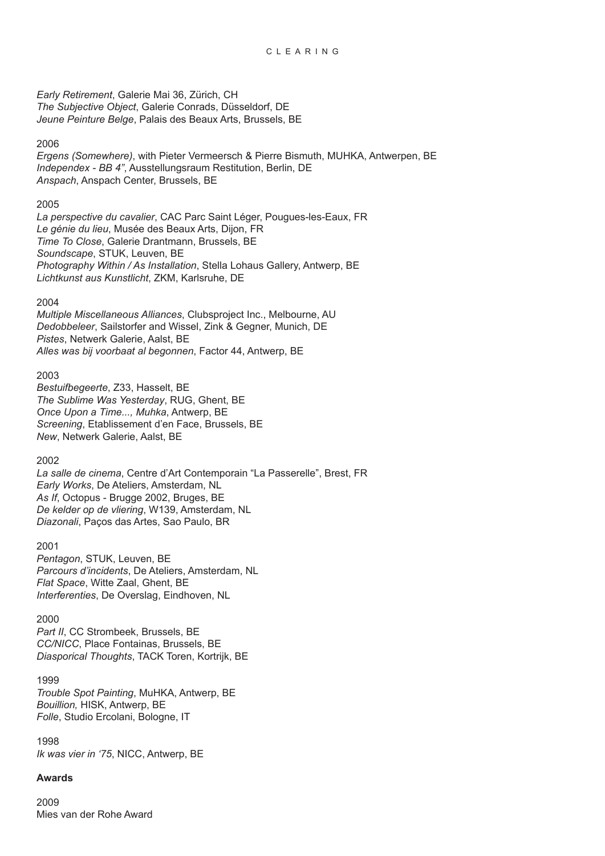*Early Retirement*, Galerie Mai 36, Zürich, CH *The Subjective Object*, Galerie Conrads, Düsseldorf, DE *Jeune Peinture Belge*, Palais des Beaux Arts, Brussels, BE

# 2006

*Ergens (Somewhere)*, with Pieter Vermeersch & Pierre Bismuth, MUHKA, Antwerpen, BE *Independex - BB 4"*, Ausstellungsraum Restitution, Berlin, DE *Anspach*, Anspach Center, Brussels, BE

## 2005

*La perspective du cavalier*, CAC Parc Saint Léger, Pougues-les-Eaux, FR *Le génie du lieu*, Musée des Beaux Arts, Dijon, FR *Time To Close*, Galerie Drantmann, Brussels, BE *Soundscape*, STUK, Leuven, BE *Photography Within / As Installation*, Stella Lohaus Gallery, Antwerp, BE *Lichtkunst aus Kunstlicht*, ZKM, Karlsruhe, DE

## 2004

*Multiple Miscellaneous Alliances*, Clubsproject Inc., Melbourne, AU *Dedobbeleer*, Sailstorfer and Wissel, Zink & Gegner, Munich, DE *Pistes*, Netwerk Galerie, Aalst, BE *Alles was bij voorbaat al begonnen*, Factor 44, Antwerp, BE

## 2003

*Bestuifbegeerte*, Z33, Hasselt, BE *The Sublime Was Yesterday*, RUG, Ghent, BE *Once Upon a Time..., Muhka*, Antwerp, BE *Screening*, Etablissement d'en Face, Brussels, BE *New*, Netwerk Galerie, Aalst, BE

# 2002

*La salle de cinema*, Centre d'Art Contemporain "La Passerelle", Brest, FR *Early Works*, De Ateliers, Amsterdam, NL *As If*, Octopus - Brugge 2002, Bruges, BE *De kelder op de vliering*, W139, Amsterdam, NL *Diazonali*, Paços das Artes, Sao Paulo, BR

#### 2001

*Pentagon*, STUK, Leuven, BE *Parcours d'incidents*, De Ateliers, Amsterdam, NL *Flat Space*, Witte Zaal, Ghent, BE *Interferenties*, De Overslag, Eindhoven, NL

#### 2000

Part II, CC Strombeek, Brussels, BE *CC/NICC*, Place Fontainas, Brussels, BE *Diasporical Thoughts*, TACK Toren, Kortrijk, BE

# 1999

*Trouble Spot Painting*, MuHKA, Antwerp, BE *Bouillion,* HISK, Antwerp, BE *Folle*, Studio Ercolani, Bologne, IT

1998 *Ik was vier in '75*, NICC, Antwerp, BE

# **Awards**

2009 Mies van der Rohe Award